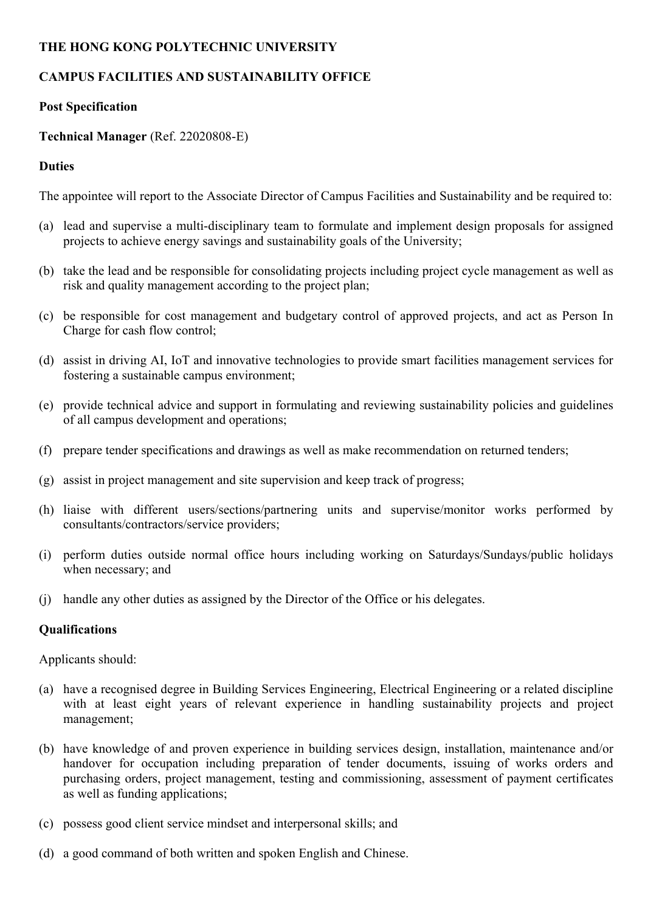### **THE HONG KONG POLYTECHNIC UNIVERSITY**

# **CAMPUS FACILITIES AND SUSTAINABILITY OFFICE**

## **Post Specification**

## **Technical Manager** (Ref. 22020808-E)

## **Duties**

The appointee will report to the Associate Director of Campus Facilities and Sustainability and be required to:

- (a) lead and supervise a multi-disciplinary team to formulate and implement design proposals for assigned projects to achieve energy savings and sustainability goals of the University;
- (b) take the lead and be responsible for consolidating projects including project cycle management as well as risk and quality management according to the project plan;
- (c) be responsible for cost management and budgetary control of approved projects, and act as Person In Charge for cash flow control;
- (d) assist in driving AI, IoT and innovative technologies to provide smart facilities management services for fostering a sustainable campus environment;
- (e) provide technical advice and support in formulating and reviewing sustainability policies and guidelines of all campus development and operations;
- (f) prepare tender specifications and drawings as well as make recommendation on returned tenders;
- (g) assist in project management and site supervision and keep track of progress;
- (h) liaise with different users/sections/partnering units and supervise/monitor works performed by consultants/contractors/service providers;
- (i) perform duties outside normal office hours including working on Saturdays/Sundays/public holidays when necessary; and
- (j) handle any other duties as assigned by the Director of the Office or his delegates.

#### **Qualifications**

Applicants should:

- (a) have a recognised degree in Building Services Engineering, Electrical Engineering or a related discipline with at least eight years of relevant experience in handling sustainability projects and project management;
- (b) have knowledge of and proven experience in building services design, installation, maintenance and/or handover for occupation including preparation of tender documents, issuing of works orders and purchasing orders, project management, testing and commissioning, assessment of payment certificates as well as funding applications;
- (c) possess good client service mindset and interpersonal skills; and
- (d) a good command of both written and spoken English and Chinese.